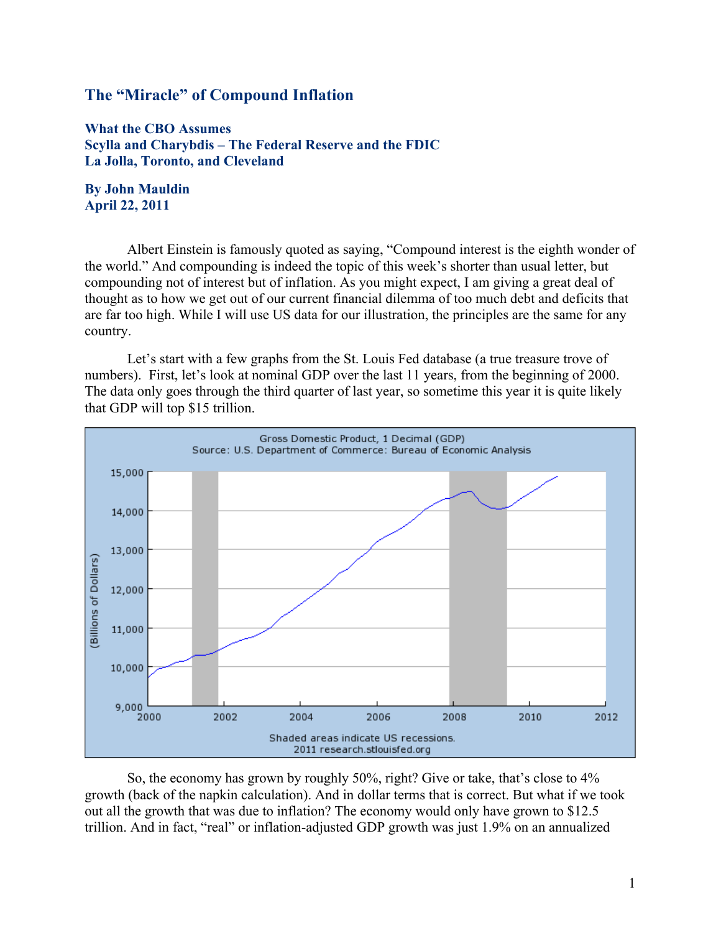# The "Miracle" of Compound Inflation

What the CBO Assumes Scylla and Charybdis – The Federal Reserve and the FDIC La Jolla, Toronto, and Cleveland

### By John Mauldin April 22, 2011

Albert Einstein is famously quoted as saying, "Compound interest is the eighth wonder of the world." And compounding is indeed the topic of this week's shorter than usual letter, but compounding not of interest but of inflation. As you might expect, I am giving a great deal of thought as to how we get out of our current financial dilemma of too much debt and deficits that are far too high. While I will use US data for our illustration, the principles are the same for any country.

Let's start with a few graphs from the St. Louis Fed database (a true treasure trove of numbers). First, let's look at nominal GDP over the last 11 years, from the beginning of 2000. The data only goes through the third quarter of last year, so sometime this year it is quite likely that GDP will top \$15 trillion.



So, the economy has grown by roughly 50%, right? Give or take, that's close to 4% growth (back of the napkin calculation). And in dollar terms that is correct. But what if we took out all the growth that was due to inflation? The economy would only have grown to \$12.5 trillion. And in fact, "real" or inflation-adjusted GDP growth was just 1.9% on an annualized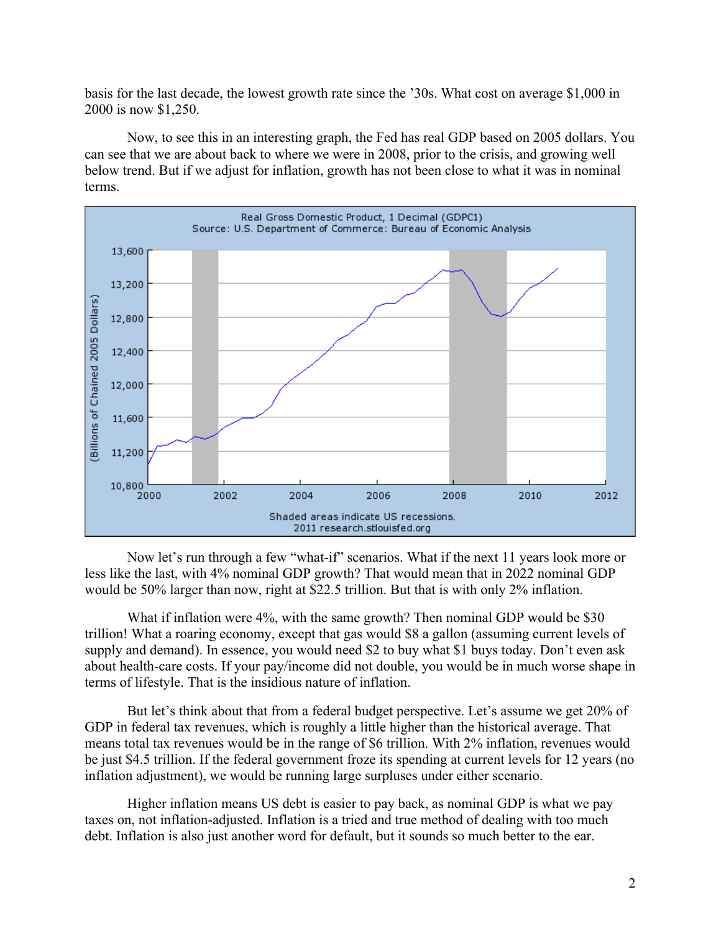basis for the last decade, the lowest growth rate since the '30s. What cost on average \$1,000 in 2000 is now \$1,250.

Now, to see this in an interesting graph, the Fed has real GDP based on 2005 dollars. You can see that we are about back to where we were in 2008, prior to the crisis, and growing well below trend. But if we adjust for inflation, growth has not been close to what it was in nominal terms.



Now let's run through a few "what-if" scenarios. What if the next 11 years look more or less like the last, with 4% nominal GDP growth? That would mean that in 2022 nominal GDP would be 50% larger than now, right at \$22.5 trillion. But that is with only 2% inflation.

What if inflation were 4%, with the same growth? Then nominal GDP would be \$30 trillion! What a roaring economy, except that gas would \$8 a gallon (assuming current levels of supply and demand). In essence, you would need \$2 to buy what \$1 buys today. Don't even ask about health-care costs. If your pay/income did not double, you would be in much worse shape in terms of lifestyle. That is the insidious nature of inflation.

But let's think about that from a federal budget perspective. Let's assume we get 20% of GDP in federal tax revenues, which is roughly a little higher than the historical average. That means total tax revenues would be in the range of \$6 trillion. With 2% inflation, revenues would be just \$4.5 trillion. If the federal government froze its spending at current levels for 12 years (no inflation adjustment), we would be running large surpluses under either scenario.

Higher inflation means US debt is easier to pay back, as nominal GDP is what we pay taxes on, not inflation-adjusted. Inflation is a tried and true method of dealing with too much debt. Inflation is also just another word for default, but it sounds so much better to the ear.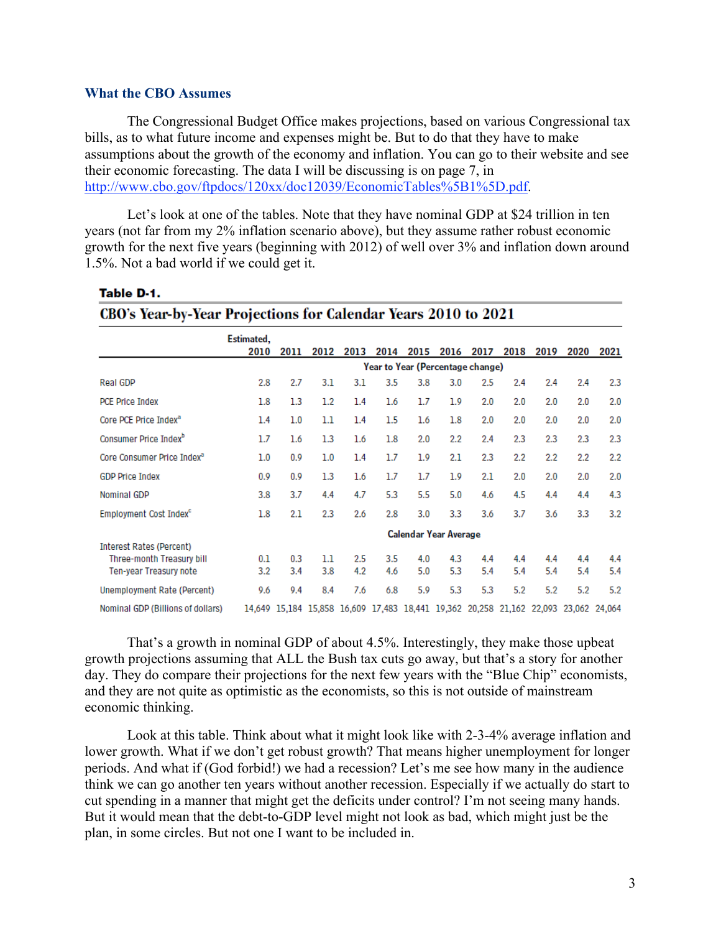#### What the CBO Assumes

The Congressional Budget Office makes projections, based on various Congressional tax bills, as to what future income and expenses might be. But to do that they have to make assumptions about the growth of the economy and inflation. You can go to their website and see their economic forecasting. The data I will be discussing is on page 7, in http://www.cbo.gov/ftpdocs/120xx/doc12039/EconomicTables%5B1%5D.pdf.

Let's look at one of the tables. Note that they have nominal GDP at \$24 trillion in ten years (not far from my 2% inflation scenario above), but they assume rather robust economic growth for the next five years (beginning with 2012) of well over 3% and inflation down around 1.5%. Not a bad world if we could get it.

CBO's Year-by-Year Projections for Calendar Years 2010 to 2021

|                                                              | ,                            |                                  |      |      |                                                                       |      |         |      |      |      |      |               |  |
|--------------------------------------------------------------|------------------------------|----------------------------------|------|------|-----------------------------------------------------------------------|------|---------|------|------|------|------|---------------|--|
|                                                              | Estimated,<br>2010           | 2011                             | 2012 | 2013 | 2014                                                                  | 2015 | 2016    | 2017 | 2018 | 2019 | 2020 | 2021          |  |
|                                                              |                              | Year to Year (Percentage change) |      |      |                                                                       |      |         |      |      |      |      |               |  |
| Real GDP                                                     | 2.8                          | 2.7                              | 3.1  | 3.1  | 3.5                                                                   | 3.8  | 3.0     | 2.5  | 2.4  | 2.4  | 2.4  | 2.3           |  |
| <b>PCE Price Index</b>                                       | 1.8                          | 1.3                              | 1.2  | 1.4  | 1.6                                                                   | 1.7  | 1.9     | 2.0  | 2.0  | 2.0  | 2.0  | 2.0           |  |
| Core PCE Price Index <sup>a</sup>                            | 1.4                          | 1.0                              | 1.1  | 1.4  | $1.5\,$                                                               | 1.6  | 1.8     | 2.0  | 2.0  | 2.0  | 2.0  | 2.0           |  |
| Consumer Price Index <sup>b</sup>                            | 1.7                          | 1.6                              | 1.3  | 1.6  | 1.8                                                                   | 2.0  | $2.2\,$ | 2.4  | 2.3  | 2.3  | 2.3  | 2.3           |  |
| Core Consumer Price Index <sup>a</sup>                       | 1.0                          | 0.9                              | 1.0  | 1.4  | 1.7                                                                   | 1.9  | 2.1     | 2.3  | 2.2  | 2.2  | 2.2  | 2.2           |  |
| <b>GDP Price Index</b>                                       | 0.9                          | 0.9                              | 1.3  | 1.6  | 1.7                                                                   | 1.7  | 1.9     | 2.1  | 2.0  | 2.0  | 2.0  | 2.0           |  |
| Nominal GDP                                                  | 3.8                          | 3.7                              | 4.4  | 4.7  | 5.3                                                                   | 5.5  | 5.0     | 4.6  | 4.5  | 4.4  | 4.4  | 4.3           |  |
| Employment Cost Index <sup>c</sup>                           | 1.8                          | 2.1                              | 2.3  | 2.6  | 2.8                                                                   | 3.0  | 3.3     | 3.6  | 3.7  | 3.6  | 3.3  | 3.2           |  |
|                                                              | <b>Calendar Year Average</b> |                                  |      |      |                                                                       |      |         |      |      |      |      |               |  |
| <b>Interest Rates (Percent)</b><br>Three-month Treasury bill | 0.1                          | 0.3                              | 1.1  | 2.5  | 3.5                                                                   | 4.0  | 4.3     | 4.4  | 4.4  | 4.4  | 4.4  | 4.4           |  |
| Ten-year Treasury note                                       | 3.2                          | 3.4                              | 3.8  | 4.2  | 4.6                                                                   | 5.0  | 5.3     | 5.4  | 5.4  | 5.4  | 5.4  | 5.4           |  |
| Unemployment Rate (Percent)                                  | 9.6                          | 9.4                              | 8.4  | 7.6  | 6.8                                                                   | 5.9  | 5.3     | 5.3  | 5.2  | 5.2  | 5.2  | 5.2           |  |
| Nominal GDP (Billions of dollars)                            |                              |                                  |      |      | 14,649 15,184 15,858 16,609 17,483 18,441 19,362 20,258 21,162 22,093 |      |         |      |      |      |      | 23.062 24.064 |  |

Table D-1.

That's a growth in nominal GDP of about 4.5%. Interestingly, they make those upbeat growth projections assuming that ALL the Bush tax cuts go away, but that's a story for another day. They do compare their projections for the next few years with the "Blue Chip" economists, and they are not quite as optimistic as the economists, so this is not outside of mainstream economic thinking.

Look at this table. Think about what it might look like with 2-3-4% average inflation and lower growth. What if we don't get robust growth? That means higher unemployment for longer periods. And what if (God forbid!) we had a recession? Let's me see how many in the audience think we can go another ten years without another recession. Especially if we actually do start to cut spending in a manner that might get the deficits under control? I'm not seeing many hands. But it would mean that the debt-to-GDP level might not look as bad, which might just be the plan, in some circles. But not one I want to be included in.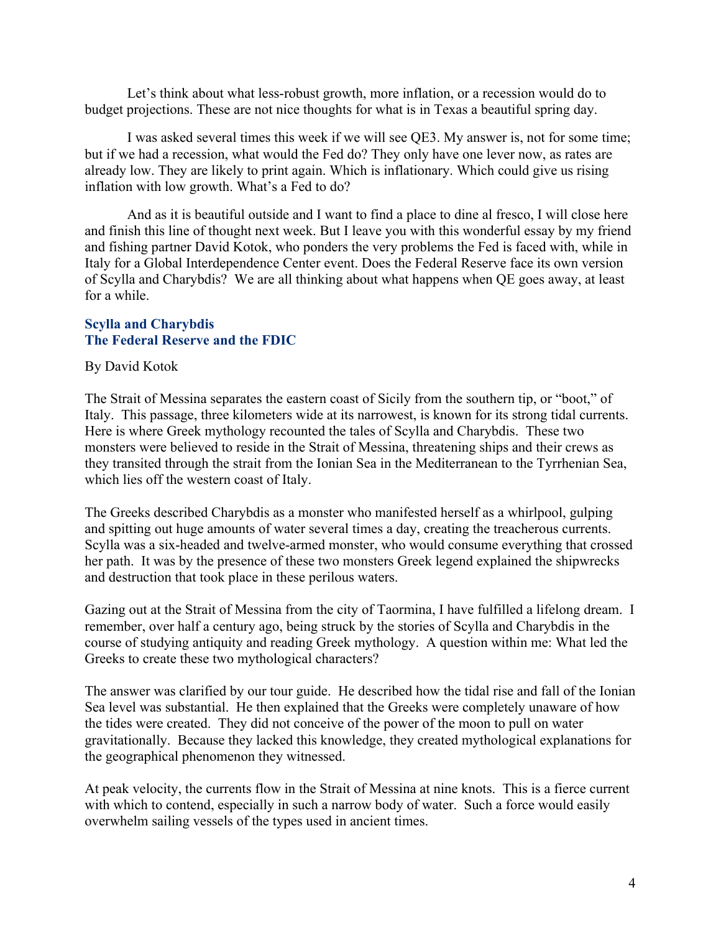Let's think about what less-robust growth, more inflation, or a recession would do to budget projections. These are not nice thoughts for what is in Texas a beautiful spring day.

I was asked several times this week if we will see QE3. My answer is, not for some time; but if we had a recession, what would the Fed do? They only have one lever now, as rates are already low. They are likely to print again. Which is inflationary. Which could give us rising inflation with low growth. What's a Fed to do?

And as it is beautiful outside and I want to find a place to dine al fresco, I will close here and finish this line of thought next week. But I leave you with this wonderful essay by my friend and fishing partner David Kotok, who ponders the very problems the Fed is faced with, while in Italy for a Global Interdependence Center event. Does the Federal Reserve face its own version of Scylla and Charybdis? We are all thinking about what happens when QE goes away, at least for a while.

## Scylla and Charybdis The Federal Reserve and the FDIC

By David Kotok

The Strait of Messina separates the eastern coast of Sicily from the southern tip, or "boot," of Italy. This passage, three kilometers wide at its narrowest, is known for its strong tidal currents. Here is where Greek mythology recounted the tales of Scylla and Charybdis. These two monsters were believed to reside in the Strait of Messina, threatening ships and their crews as they transited through the strait from the Ionian Sea in the Mediterranean to the Tyrrhenian Sea, which lies off the western coast of Italy.

The Greeks described Charybdis as a monster who manifested herself as a whirlpool, gulping and spitting out huge amounts of water several times a day, creating the treacherous currents. Scylla was a six-headed and twelve-armed monster, who would consume everything that crossed her path. It was by the presence of these two monsters Greek legend explained the shipwrecks and destruction that took place in these perilous waters.

Gazing out at the Strait of Messina from the city of Taormina, I have fulfilled a lifelong dream. I remember, over half a century ago, being struck by the stories of Scylla and Charybdis in the course of studying antiquity and reading Greek mythology. A question within me: What led the Greeks to create these two mythological characters?

The answer was clarified by our tour guide. He described how the tidal rise and fall of the Ionian Sea level was substantial. He then explained that the Greeks were completely unaware of how the tides were created. They did not conceive of the power of the moon to pull on water gravitationally. Because they lacked this knowledge, they created mythological explanations for the geographical phenomenon they witnessed.

At peak velocity, the currents flow in the Strait of Messina at nine knots. This is a fierce current with which to contend, especially in such a narrow body of water. Such a force would easily overwhelm sailing vessels of the types used in ancient times.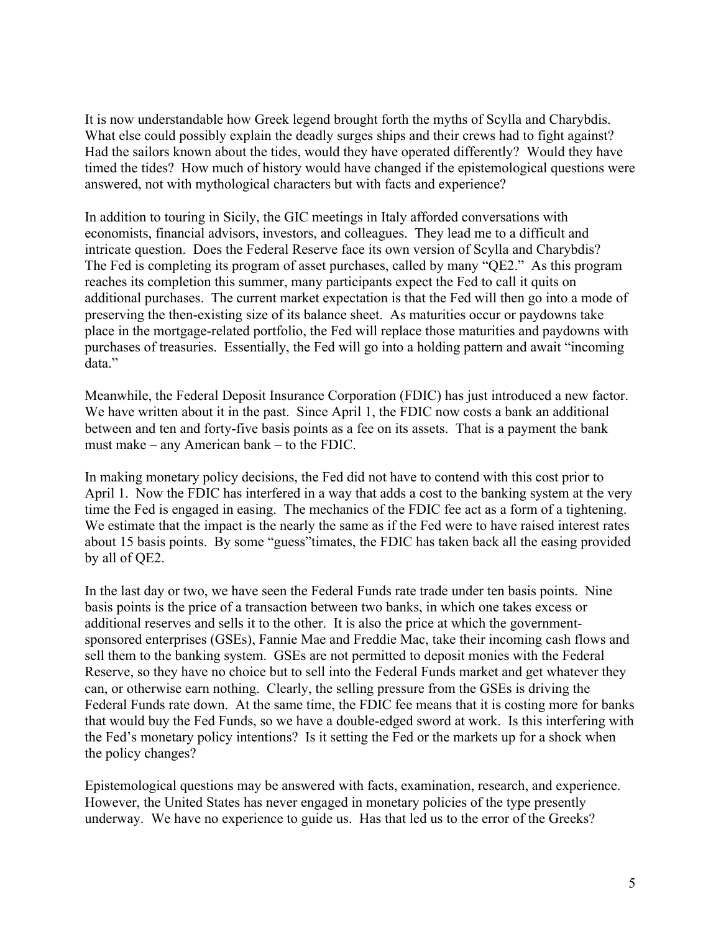It is now understandable how Greek legend brought forth the myths of Scylla and Charybdis. What else could possibly explain the deadly surges ships and their crews had to fight against? Had the sailors known about the tides, would they have operated differently? Would they have timed the tides? How much of history would have changed if the epistemological questions were answered, not with mythological characters but with facts and experience?

In addition to touring in Sicily, the GIC meetings in Italy afforded conversations with economists, financial advisors, investors, and colleagues. They lead me to a difficult and intricate question. Does the Federal Reserve face its own version of Scylla and Charybdis? The Fed is completing its program of asset purchases, called by many "QE2." As this program reaches its completion this summer, many participants expect the Fed to call it quits on additional purchases. The current market expectation is that the Fed will then go into a mode of preserving the then-existing size of its balance sheet. As maturities occur or paydowns take place in the mortgage-related portfolio, the Fed will replace those maturities and paydowns with purchases of treasuries. Essentially, the Fed will go into a holding pattern and await "incoming data."

Meanwhile, the Federal Deposit Insurance Corporation (FDIC) has just introduced a new factor. We have written about it in the past. Since April 1, the FDIC now costs a bank an additional between and ten and forty-five basis points as a fee on its assets. That is a payment the bank must make – any American bank – to the FDIC.

In making monetary policy decisions, the Fed did not have to contend with this cost prior to April 1. Now the FDIC has interfered in a way that adds a cost to the banking system at the very time the Fed is engaged in easing. The mechanics of the FDIC fee act as a form of a tightening. We estimate that the impact is the nearly the same as if the Fed were to have raised interest rates about 15 basis points. By some "guess"timates, the FDIC has taken back all the easing provided by all of QE2.

In the last day or two, we have seen the Federal Funds rate trade under ten basis points. Nine basis points is the price of a transaction between two banks, in which one takes excess or additional reserves and sells it to the other. It is also the price at which the governmentsponsored enterprises (GSEs), Fannie Mae and Freddie Mac, take their incoming cash flows and sell them to the banking system. GSEs are not permitted to deposit monies with the Federal Reserve, so they have no choice but to sell into the Federal Funds market and get whatever they can, or otherwise earn nothing. Clearly, the selling pressure from the GSEs is driving the Federal Funds rate down. At the same time, the FDIC fee means that it is costing more for banks that would buy the Fed Funds, so we have a double-edged sword at work. Is this interfering with the Fed's monetary policy intentions? Is it setting the Fed or the markets up for a shock when the policy changes?

Epistemological questions may be answered with facts, examination, research, and experience. However, the United States has never engaged in monetary policies of the type presently underway. We have no experience to guide us. Has that led us to the error of the Greeks?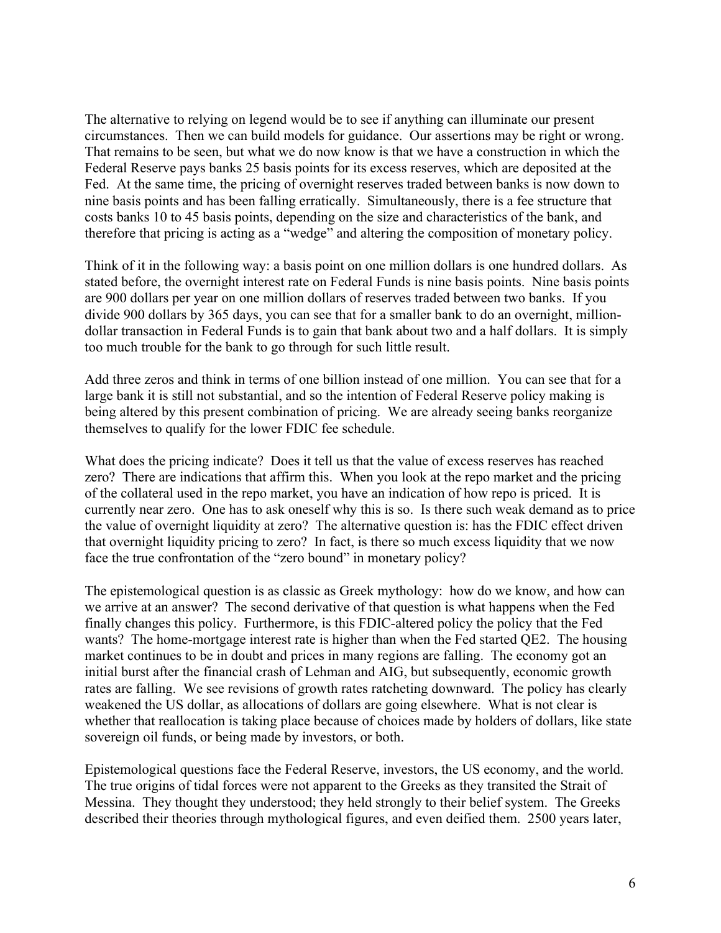The alternative to relying on legend would be to see if anything can illuminate our present circumstances. Then we can build models for guidance. Our assertions may be right or wrong. That remains to be seen, but what we do now know is that we have a construction in which the Federal Reserve pays banks 25 basis points for its excess reserves, which are deposited at the Fed. At the same time, the pricing of overnight reserves traded between banks is now down to nine basis points and has been falling erratically. Simultaneously, there is a fee structure that costs banks 10 to 45 basis points, depending on the size and characteristics of the bank, and therefore that pricing is acting as a "wedge" and altering the composition of monetary policy.

Think of it in the following way: a basis point on one million dollars is one hundred dollars. As stated before, the overnight interest rate on Federal Funds is nine basis points. Nine basis points are 900 dollars per year on one million dollars of reserves traded between two banks. If you divide 900 dollars by 365 days, you can see that for a smaller bank to do an overnight, milliondollar transaction in Federal Funds is to gain that bank about two and a half dollars. It is simply too much trouble for the bank to go through for such little result.

Add three zeros and think in terms of one billion instead of one million. You can see that for a large bank it is still not substantial, and so the intention of Federal Reserve policy making is being altered by this present combination of pricing. We are already seeing banks reorganize themselves to qualify for the lower FDIC fee schedule.

What does the pricing indicate? Does it tell us that the value of excess reserves has reached zero? There are indications that affirm this. When you look at the repo market and the pricing of the collateral used in the repo market, you have an indication of how repo is priced. It is currently near zero. One has to ask oneself why this is so. Is there such weak demand as to price the value of overnight liquidity at zero? The alternative question is: has the FDIC effect driven that overnight liquidity pricing to zero? In fact, is there so much excess liquidity that we now face the true confrontation of the "zero bound" in monetary policy?

The epistemological question is as classic as Greek mythology: how do we know, and how can we arrive at an answer? The second derivative of that question is what happens when the Fed finally changes this policy. Furthermore, is this FDIC-altered policy the policy that the Fed wants? The home-mortgage interest rate is higher than when the Fed started QE2. The housing market continues to be in doubt and prices in many regions are falling. The economy got an initial burst after the financial crash of Lehman and AIG, but subsequently, economic growth rates are falling. We see revisions of growth rates ratcheting downward. The policy has clearly weakened the US dollar, as allocations of dollars are going elsewhere. What is not clear is whether that reallocation is taking place because of choices made by holders of dollars, like state sovereign oil funds, or being made by investors, or both.

Epistemological questions face the Federal Reserve, investors, the US economy, and the world. The true origins of tidal forces were not apparent to the Greeks as they transited the Strait of Messina. They thought they understood; they held strongly to their belief system. The Greeks described their theories through mythological figures, and even deified them. 2500 years later,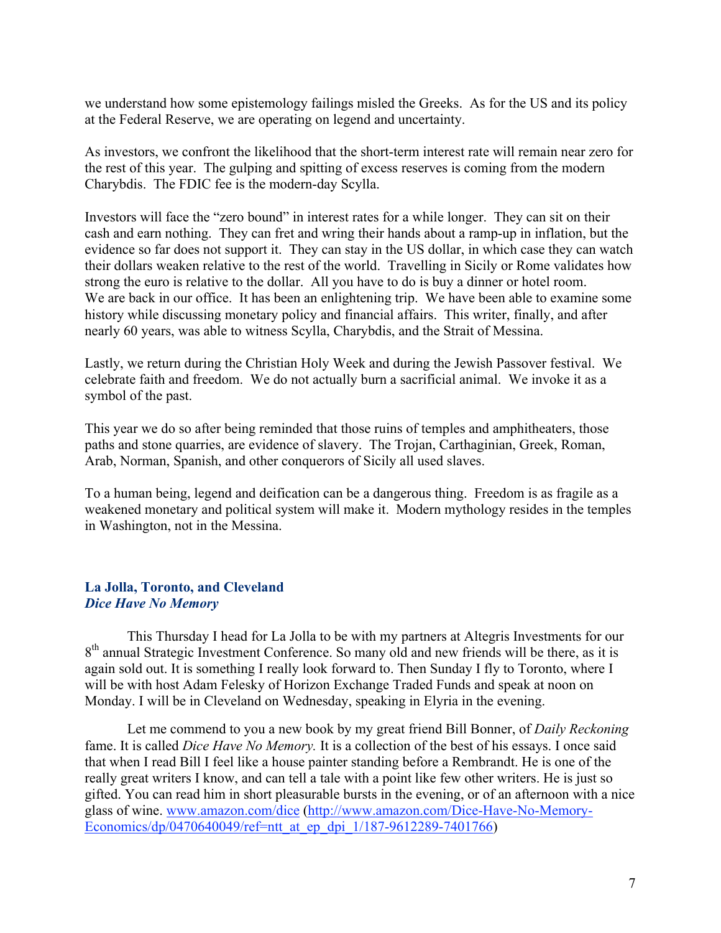we understand how some epistemology failings misled the Greeks. As for the US and its policy at the Federal Reserve, we are operating on legend and uncertainty.

As investors, we confront the likelihood that the short-term interest rate will remain near zero for the rest of this year. The gulping and spitting of excess reserves is coming from the modern Charybdis. The FDIC fee is the modern-day Scylla.

Investors will face the "zero bound" in interest rates for a while longer. They can sit on their cash and earn nothing. They can fret and wring their hands about a ramp-up in inflation, but the evidence so far does not support it. They can stay in the US dollar, in which case they can watch their dollars weaken relative to the rest of the world. Travelling in Sicily or Rome validates how strong the euro is relative to the dollar. All you have to do is buy a dinner or hotel room. We are back in our office. It has been an enlightening trip. We have been able to examine some history while discussing monetary policy and financial affairs. This writer, finally, and after nearly 60 years, was able to witness Scylla, Charybdis, and the Strait of Messina.

Lastly, we return during the Christian Holy Week and during the Jewish Passover festival. We celebrate faith and freedom. We do not actually burn a sacrificial animal. We invoke it as a symbol of the past.

This year we do so after being reminded that those ruins of temples and amphitheaters, those paths and stone quarries, are evidence of slavery. The Trojan, Carthaginian, Greek, Roman, Arab, Norman, Spanish, and other conquerors of Sicily all used slaves.

To a human being, legend and deification can be a dangerous thing. Freedom is as fragile as a weakened monetary and political system will make it. Modern mythology resides in the temples in Washington, not in the Messina.

## La Jolla, Toronto, and Cleveland *Dice Have No Memory*

This Thursday I head for La Jolla to be with my partners at Altegris Investments for our 8<sup>th</sup> annual Strategic Investment Conference. So many old and new friends will be there, as it is again sold out. It is something I really look forward to. Then Sunday I fly to Toronto, where I will be with host Adam Felesky of Horizon Exchange Traded Funds and speak at noon on Monday. I will be in Cleveland on Wednesday, speaking in Elyria in the evening.

Let me commend to you a new book by my great friend Bill Bonner, of *Daily Reckoning* fame. It is called *Dice Have No Memory.* It is a collection of the best of his essays. I once said that when I read Bill I feel like a house painter standing before a Rembrandt. He is one of the really great writers I know, and can tell a tale with a point like few other writers. He is just so gifted. You can read him in short pleasurable bursts in the evening, or of an afternoon with a nice glass of wine. www.amazon.com/dice (http://www.amazon.com/Dice-Have-No-Memory-Economics/dp/0470640049/ref=ntt at ep\_dpi\_1/187-9612289-7401766)